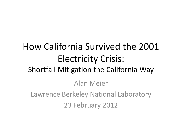### How California Survived the 2001 Electricity Crisis: Shortfall Mitigation the California Way Alan Meier Lawrence Berkeley National Laboratory 23 February 2012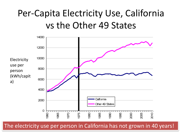### Per-Capita Electricity Use, California vs the Other 49 States



The electricity use per person in California has not grown in 40 years!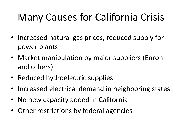# Many Causes for California Crisis

- Increased natural gas prices, reduced supply for power plants
- Market manipulation by major suppliers (Enron and others)
- Reduced hydroelectric supplies
- Increased electrical demand in neighboring states
- No new capacity added in California
- Other restrictions by federal agencies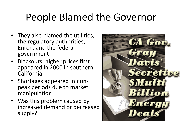## People Blamed the Governor

- They also blamed the utilities, the regulatory authorities, Enron, and the federal government
- Blackouts, higher prices first appeared in 2000 in southern California
- Shortages appeared in nonpeak periods due to market manipulation
- Was this problem caused by increased demand or decreased supply?

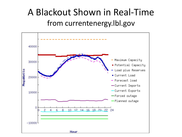### A Blackout Shown in Real-Time from currentenergy.lbl.gov

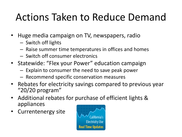# Actions Taken to Reduce Demand

- Huge media campaign on TV, newspapers, radio
	- Switch off lights
	- Raise summer time temperatures in offices and homes
	- Switch off consumer electronics
- Statewide: "Flex your Power" education campaign
	- Explain to consumer the need to save peak power
	- Recommend specific conservation measures
- Rebates for electricity savings compared to previous year "20/20 program"
- Additional rebates for purchase of efficient lights & appliances
- Currentenergy site

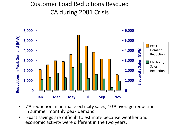#### Customer Load Reductions Rescued CA during 2001 Crisis



- 7% reduction in annual electricity sales; 10% average reduction in summer monthly peak demand
- Exact savings are difficult to estimate because weather and economic activity were different in the two years.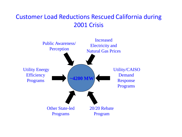#### Customer Load Reductions Rescued California during 2001 Crisis

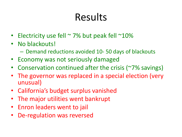# Results

- Electricity use fell  $\sim$  7% but peak fell  $\sim$ 10%
- No blackouts!
	- Demand reductions avoided 10- 50 days of blackouts
- Economy was not seriously damaged
- Conservation continued after the crisis (~7% savings)
- The governor was replaced in a special election (very unusual)
- California's budget surplus vanished
- The major utilities went bankrupt
- Enron leaders went to jail
- De-regulation was reversed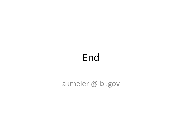### End

#### akmeier @lbl.gov